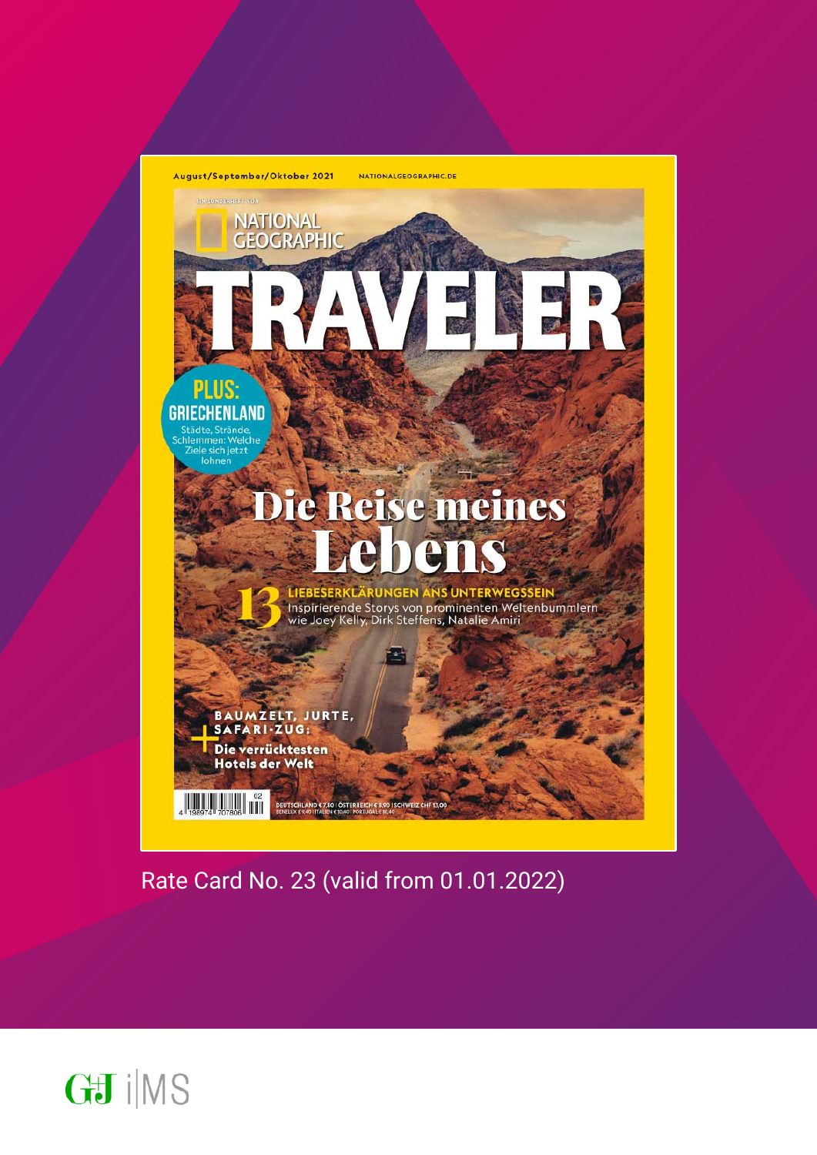

Rate Card No. 23 (valid from 01.01.2022)

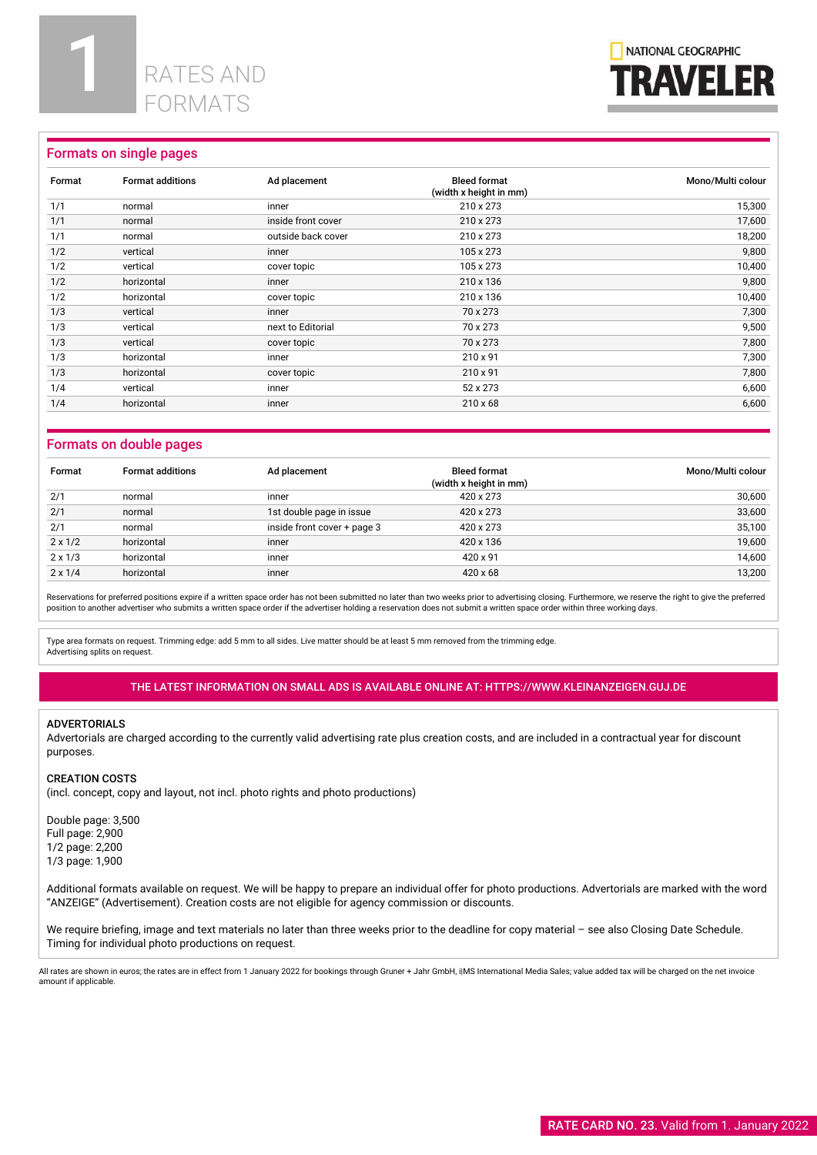

# Formats on single pages

| Format | <b>Format additions</b> | Ad placement       | <b>Bleed format</b><br>(width x height in mm) | Mono/Multi colour |
|--------|-------------------------|--------------------|-----------------------------------------------|-------------------|
| 1/1    | normal                  | inner              | 210 x 273                                     | 15,300            |
| 1/1    | normal                  | inside front cover | 210 x 273                                     | 17,600            |
| 1/1    | normal                  | outside back cover | 210 x 273                                     | 18,200            |
| 1/2    | vertical                | inner              | 105 x 273                                     | 9,800             |
| 1/2    | vertical                | cover topic        | 105 x 273                                     | 10,400            |
| 1/2    | horizontal              | inner              | 210 x 136                                     | 9,800             |
| 1/2    | horizontal              | cover topic        | 210 x 136                                     | 10,400            |
| 1/3    | vertical                | inner              | 70 x 273                                      | 7,300             |
| 1/3    | vertical                | next to Editorial  | 70 x 273                                      | 9,500             |
| 1/3    | vertical                | cover topic        | 70 x 273                                      | 7,800             |
| 1/3    | horizontal              | inner              | 210 x 91                                      | 7,300             |
| 1/3    | horizontal              | cover topic        | 210 x 91                                      | 7,800             |
| 1/4    | vertical                | inner              | 52 x 273                                      | 6,600             |
| 1/4    | horizontal              | inner              | $210 \times 68$                               | 6,600             |

# Formats on double pages

| Format         | <b>Format additions</b> | Ad placement                | <b>Bleed format</b><br>(width x height in mm) | Mono/Multi colour |
|----------------|-------------------------|-----------------------------|-----------------------------------------------|-------------------|
| 2/1            | normal                  | inner                       | 420 x 273                                     | 30.600            |
| 2/1            | normal                  | 1st double page in issue    | 420 x 273                                     | 33,600            |
| 2/1            | normal                  | inside front cover + page 3 | 420 x 273                                     | 35,100            |
| $2 \times 1/2$ | horizontal              | inner                       | 420 x 136                                     | 19.600            |
| $2 \times 1/3$ | horizontal              | inner                       | 420 x 91                                      | 14,600            |
| $2 \times 1/4$ | horizontal              | inner                       | $420 \times 68$                               | 13,200            |

Reservations for preferred positions expire if a written space order has not been submitted no later than two weeks prior to advertising closing. Furthermore, we reserve the right to give the preferred position to another advertiser who submits a written space order if the advertiser holding a reservation does not submit a written space order within three working days.

Type area formats on request. Trimming edge: add 5 mm to all sides. Live matter should be at least 5 mm removed from the trimming edge. Advertising splits on request.

## THE LATEST INFORMATION ON SMALL ADS IS AVAILABLE ONLINE AT: HTTPS://WWW.KLEINANZEIGEN.GUJ.DE

#### ADVERTORIALS

Advertorials are charged according to the currently valid advertising rate plus creation costs, and are included in a contractual year for discount purposes.

#### CREATION COSTS

(incl. concept, copy and layout, not incl. photo rights and photo productions)

Double page: 3,500 Full page: 2,900 1/2 page: 2,200 1/3 page: 1,900

Additional formats available on request. We will be happy to prepare an individual offer for photo productions. Advertorials are marked with the word "ANZEIGE" (Advertisement). Creation costs are not eligible for agency commission or discounts.

We require briefing, image and text materials no later than three weeks prior to the deadline for copy material - see also Closing Date Schedule. Timing for individual photo productions on request.

All rates are shown in euros; the rates are in effect from 1 January 2022 for bookings through Gruner + Jahr GmbH, ilMS International Media Sales; value added tax will be charged on the net invoice amount if applicable.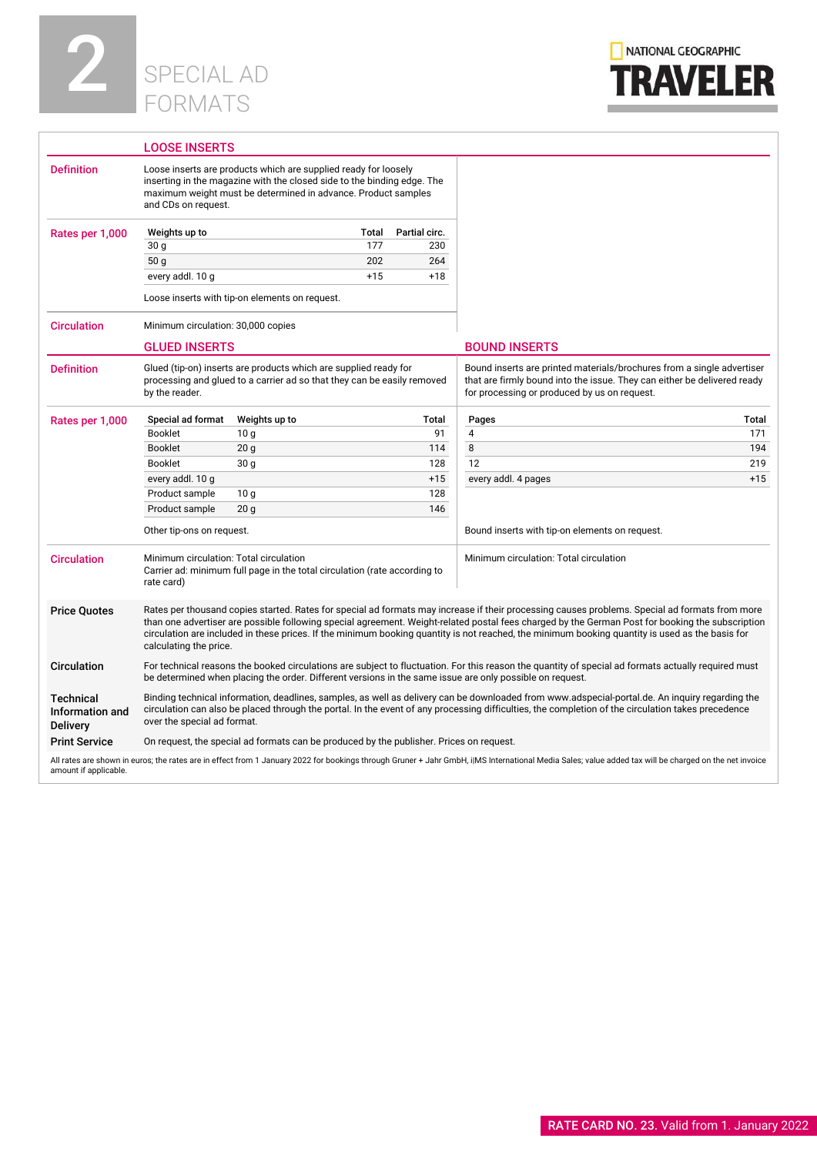



|                                                 | <b>LOOSE INSERTS</b>                                                                                                                                                                                                                                                                                                                                                |                                                |       |               |                                                                                                                                                                                                                                                                                                                                                                                                                                                       |       |
|-------------------------------------------------|---------------------------------------------------------------------------------------------------------------------------------------------------------------------------------------------------------------------------------------------------------------------------------------------------------------------------------------------------------------------|------------------------------------------------|-------|---------------|-------------------------------------------------------------------------------------------------------------------------------------------------------------------------------------------------------------------------------------------------------------------------------------------------------------------------------------------------------------------------------------------------------------------------------------------------------|-------|
| <b>Definition</b>                               | Loose inserts are products which are supplied ready for loosely<br>inserting in the magazine with the closed side to the binding edge. The<br>maximum weight must be determined in advance. Product samples<br>and CDs on request.                                                                                                                                  |                                                |       |               |                                                                                                                                                                                                                                                                                                                                                                                                                                                       |       |
| Rates per 1,000                                 | Weights up to                                                                                                                                                                                                                                                                                                                                                       |                                                | Total | Partial circ. |                                                                                                                                                                                                                                                                                                                                                                                                                                                       |       |
|                                                 | 30 g                                                                                                                                                                                                                                                                                                                                                                |                                                | 177   | 230           |                                                                                                                                                                                                                                                                                                                                                                                                                                                       |       |
|                                                 | 50 <sub>q</sub>                                                                                                                                                                                                                                                                                                                                                     |                                                | 202   | 264           |                                                                                                                                                                                                                                                                                                                                                                                                                                                       |       |
|                                                 | every addl. 10 g                                                                                                                                                                                                                                                                                                                                                    |                                                | $+15$ | $+18$         |                                                                                                                                                                                                                                                                                                                                                                                                                                                       |       |
|                                                 |                                                                                                                                                                                                                                                                                                                                                                     | Loose inserts with tip-on elements on request. |       |               |                                                                                                                                                                                                                                                                                                                                                                                                                                                       |       |
| <b>Circulation</b>                              | Minimum circulation: 30,000 copies                                                                                                                                                                                                                                                                                                                                  |                                                |       |               |                                                                                                                                                                                                                                                                                                                                                                                                                                                       |       |
|                                                 | <b>GLUED INSERTS</b>                                                                                                                                                                                                                                                                                                                                                |                                                |       |               | <b>BOUND INSERTS</b>                                                                                                                                                                                                                                                                                                                                                                                                                                  |       |
| <b>Definition</b>                               | Glued (tip-on) inserts are products which are supplied ready for<br>Bound inserts are printed materials/brochures from a single advertiser<br>processing and glued to a carrier ad so that they can be easily removed<br>that are firmly bound into the issue. They can either be delivered ready<br>for processing or produced by us on request.<br>by the reader. |                                                |       |               |                                                                                                                                                                                                                                                                                                                                                                                                                                                       |       |
| Rates per 1,000                                 | Special ad format                                                                                                                                                                                                                                                                                                                                                   | Weights up to                                  |       | Total         | Pages                                                                                                                                                                                                                                                                                                                                                                                                                                                 | Total |
|                                                 | <b>Booklet</b>                                                                                                                                                                                                                                                                                                                                                      | 10 <sub>q</sub>                                |       | 91            | $\overline{4}$                                                                                                                                                                                                                                                                                                                                                                                                                                        | 171   |
|                                                 | <b>Booklet</b>                                                                                                                                                                                                                                                                                                                                                      | 20 <sub>q</sub>                                |       | 114           | 8                                                                                                                                                                                                                                                                                                                                                                                                                                                     | 194   |
|                                                 | <b>Booklet</b>                                                                                                                                                                                                                                                                                                                                                      | 30 <sub>q</sub>                                |       | 128           | 12                                                                                                                                                                                                                                                                                                                                                                                                                                                    | 219   |
|                                                 | every addl. 10 g                                                                                                                                                                                                                                                                                                                                                    |                                                |       | $+15$         | every addl. 4 pages                                                                                                                                                                                                                                                                                                                                                                                                                                   | $+15$ |
|                                                 | Product sample                                                                                                                                                                                                                                                                                                                                                      | 10 <sub>g</sub>                                |       | 128           |                                                                                                                                                                                                                                                                                                                                                                                                                                                       |       |
|                                                 | Product sample                                                                                                                                                                                                                                                                                                                                                      | 20 <sub>q</sub>                                |       | 146           |                                                                                                                                                                                                                                                                                                                                                                                                                                                       |       |
|                                                 | Other tip-ons on request.                                                                                                                                                                                                                                                                                                                                           |                                                |       |               | Bound inserts with tip-on elements on request.                                                                                                                                                                                                                                                                                                                                                                                                        |       |
| <b>Circulation</b>                              | Minimum circulation: Total circulation<br>Carrier ad: minimum full page in the total circulation (rate according to<br>rate card)                                                                                                                                                                                                                                   |                                                |       |               | Minimum circulation: Total circulation                                                                                                                                                                                                                                                                                                                                                                                                                |       |
| <b>Price Quotes</b>                             | calculating the price.                                                                                                                                                                                                                                                                                                                                              |                                                |       |               | Rates per thousand copies started. Rates for special ad formats may increase if their processing causes problems. Special ad formats from more<br>than one advertiser are possible following special agreement. Weight-related postal fees charged by the German Post for booking the subscription<br>circulation are included in these prices. If the minimum booking quantity is not reached, the minimum booking quantity is used as the basis for |       |
| <b>Circulation</b>                              | For technical reasons the booked circulations are subject to fluctuation. For this reason the quantity of special ad formats actually required must<br>be determined when placing the order. Different versions in the same issue are only possible on request.                                                                                                     |                                                |       |               |                                                                                                                                                                                                                                                                                                                                                                                                                                                       |       |
| <b>Technical</b><br>Information and<br>Delivery | Binding technical information, deadlines, samples, as well as delivery can be downloaded from www.adspecial-portal.de. An inquiry regarding the<br>circulation can also be placed through the portal. In the event of any processing difficulties, the completion of the circulation takes precedence<br>over the special ad format.                                |                                                |       |               |                                                                                                                                                                                                                                                                                                                                                                                                                                                       |       |
| <b>Print Service</b>                            | On request, the special ad formats can be produced by the publisher. Prices on request.                                                                                                                                                                                                                                                                             |                                                |       |               |                                                                                                                                                                                                                                                                                                                                                                                                                                                       |       |
| amount if applicable.                           |                                                                                                                                                                                                                                                                                                                                                                     |                                                |       |               | All rates are shown in euros; the rates are in effect from 1 January 2022 for bookings through Gruner + Jahr GmbH, i MS International Media Sales; value added tax will be charged on the net invoice                                                                                                                                                                                                                                                 |       |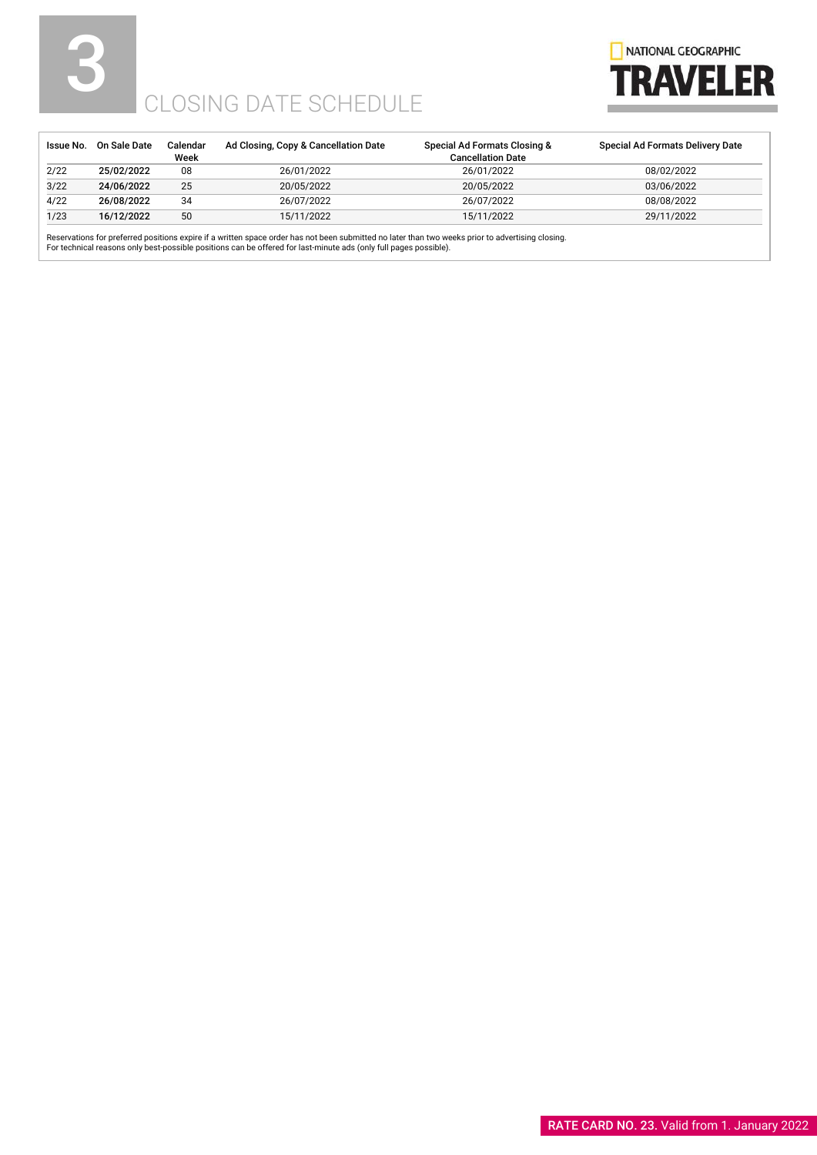# 5



# CLOSING DATE SCHEDULE

| Issue No. | On Sale Date | Calendar<br>Week | Ad Closing, Copy & Cancellation Date | Special Ad Formats Closing &<br><b>Cancellation Date</b> | Special Ad Formats Delivery Date |
|-----------|--------------|------------------|--------------------------------------|----------------------------------------------------------|----------------------------------|
| 2/22      | 25/02/2022   | 08               | 26/01/2022                           | 26/01/2022                                               | 08/02/2022                       |
| 3/22      | 24/06/2022   | 25               | 20/05/2022                           | 20/05/2022                                               | 03/06/2022                       |
| 4/22      | 26/08/2022   | 34               | 26/07/2022                           | 26/07/2022                                               | 08/08/2022                       |
| 1/23      | 16/12/2022   | 50               | 15/11/2022                           | 15/11/2022                                               | 29/11/2022                       |

Reservations for preferred positions expire if a written space order has not been submitted no later than two weeks prior to advertising closing.<br>For technical reasons only best-possible positions can be offered for last-m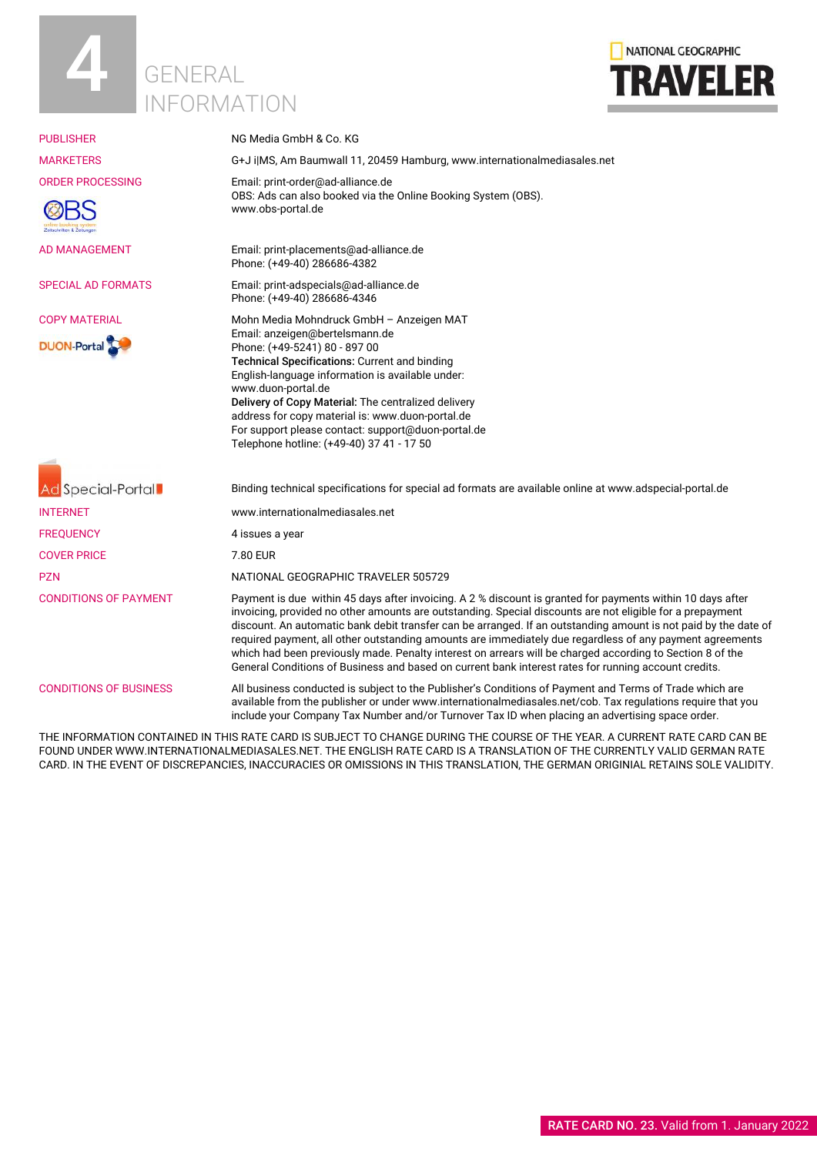



| <b>PUBLISHER</b>                                 | NG Media GmbH & Co. KG                                                                                                                                                                                                                                                                                                                                                                                                                                                                                                                                                                                                                                                      |
|--------------------------------------------------|-----------------------------------------------------------------------------------------------------------------------------------------------------------------------------------------------------------------------------------------------------------------------------------------------------------------------------------------------------------------------------------------------------------------------------------------------------------------------------------------------------------------------------------------------------------------------------------------------------------------------------------------------------------------------------|
| <b>MARKETERS</b>                                 | G+J i MS, Am Baumwall 11, 20459 Hamburg, www.internationalmediasales.net                                                                                                                                                                                                                                                                                                                                                                                                                                                                                                                                                                                                    |
| <b>ORDER PROCESSING</b><br>stschriften & Zeitung | Email: print-order@ad-alliance.de<br>OBS: Ads can also booked via the Online Booking System (OBS).<br>www.obs-portal.de                                                                                                                                                                                                                                                                                                                                                                                                                                                                                                                                                     |
| <b>AD MANAGEMENT</b>                             | Email: print-placements@ad-alliance.de<br>Phone: (+49-40) 286686-4382                                                                                                                                                                                                                                                                                                                                                                                                                                                                                                                                                                                                       |
| <b>SPECIAL AD FORMATS</b>                        | Email: print-adspecials@ad-alliance.de<br>Phone: (+49-40) 286686-4346                                                                                                                                                                                                                                                                                                                                                                                                                                                                                                                                                                                                       |
| <b>COPY MATERIAL</b>                             | Mohn Media Mohndruck GmbH - Anzeigen MAT                                                                                                                                                                                                                                                                                                                                                                                                                                                                                                                                                                                                                                    |
| <b>DUON-Portal</b>                               | Email: anzeigen@bertelsmann.de<br>Phone: (+49-5241) 80 - 897 00<br>Technical Specifications: Current and binding<br>English-language information is available under:<br>www.duon-portal.de<br>Delivery of Copy Material: The centralized delivery<br>address for copy material is: www.duon-portal.de<br>For support please contact: support@duon-portal.de<br>Telephone hotline: (+49-40) 37 41 - 17 50                                                                                                                                                                                                                                                                    |
| Ad Special-Portal                                | Binding technical specifications for special ad formats are available online at www.adspecial-portal.de                                                                                                                                                                                                                                                                                                                                                                                                                                                                                                                                                                     |
| <b>INTERNET</b>                                  | www.internationalmediasales.net                                                                                                                                                                                                                                                                                                                                                                                                                                                                                                                                                                                                                                             |
| <b>FREOUENCY</b>                                 | 4 issues a year                                                                                                                                                                                                                                                                                                                                                                                                                                                                                                                                                                                                                                                             |
| <b>COVER PRICE</b>                               | 7.80 EUR                                                                                                                                                                                                                                                                                                                                                                                                                                                                                                                                                                                                                                                                    |
| <b>PZN</b>                                       | NATIONAL GEOGRAPHIC TRAVELER 505729                                                                                                                                                                                                                                                                                                                                                                                                                                                                                                                                                                                                                                         |
| <b>CONDITIONS OF PAYMENT</b>                     | Payment is due within 45 days after invoicing. A 2 % discount is granted for payments within 10 days after<br>invoicing, provided no other amounts are outstanding. Special discounts are not eligible for a prepayment<br>discount. An automatic bank debit transfer can be arranged. If an outstanding amount is not paid by the date of<br>required payment, all other outstanding amounts are immediately due regardless of any payment agreements<br>which had been previously made. Penalty interest on arrears will be charged according to Section 8 of the<br>General Conditions of Business and based on current bank interest rates for running account credits. |
| <b>CONDITIONS OF BUSINESS</b>                    | All business conducted is subject to the Publisher's Conditions of Payment and Terms of Trade which are<br>available from the publisher or under www.internationalmediasales.net/cob. Tax regulations require that you<br>include your Company Tax Number and/or Turnover Tax ID when placing an advertising space order.                                                                                                                                                                                                                                                                                                                                                   |

THE INFORMATION CONTAINED IN THIS RATE CARD IS SUBJECT TO CHANGE DURING THE COURSE OF THE YEAR. A CURRENT RATE CARD CAN BE FOUND UNDER WWW.INTERNATIONALMEDIASALES.NET. THE ENGLISH RATE CARD IS A TRANSLATION OF THE CURRENTLY VALID GERMAN RATE CARD. IN THE EVENT OF DISCREPANCIES, INACCURACIES OR OMISSIONS IN THIS TRANSLATION, THE GERMAN ORIGINIAL RETAINS SOLE VALIDITY.